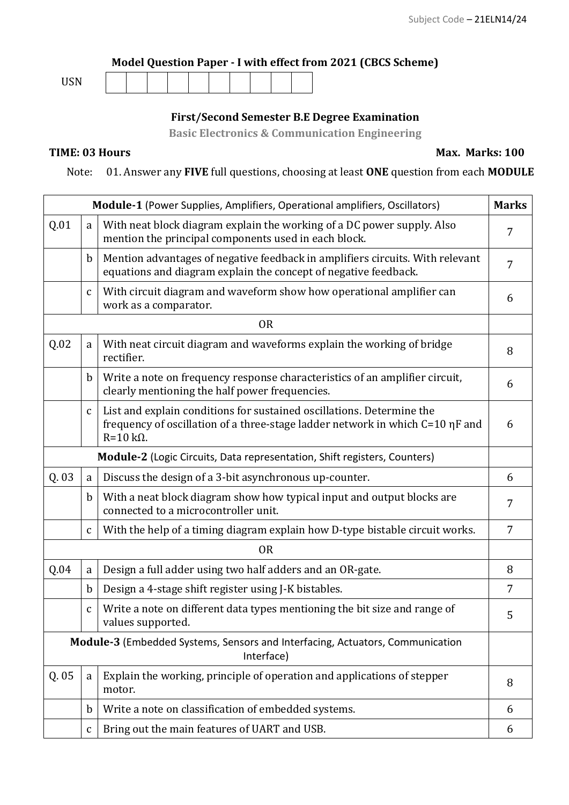## **Model Question Paper - I with effect from 2021 (CBCS Scheme)**

| <b>TICM</b><br>ບບເາ |  |  |  |  |  |  |  |  |  |
|---------------------|--|--|--|--|--|--|--|--|--|
|---------------------|--|--|--|--|--|--|--|--|--|

## **First/Second Semester B.E Degree Examination**

**Basic Electronics & Communication Engineering**

**TIME: 03 Hours Max. Marks: 100** 

Note: 01. Answer any **FIVE** full questions, choosing at least **ONE** question from each **MODULE**

|       |              | Module-1 (Power Supplies, Amplifiers, Operational amplifiers, Oscillators)                                                                                                 | <b>Marks</b>   |
|-------|--------------|----------------------------------------------------------------------------------------------------------------------------------------------------------------------------|----------------|
| Q.01  | a            | With neat block diagram explain the working of a DC power supply. Also<br>mention the principal components used in each block.                                             |                |
|       | $\mathbf b$  | Mention advantages of negative feedback in amplifiers circuits. With relevant<br>equations and diagram explain the concept of negative feedback.                           | $\overline{7}$ |
|       | $\mathbf{C}$ | With circuit diagram and waveform show how operational amplifier can<br>work as a comparator.                                                                              | 6              |
|       |              | <b>OR</b>                                                                                                                                                                  |                |
| Q.02  | a            | With neat circuit diagram and waveforms explain the working of bridge<br>rectifier.                                                                                        | 8              |
|       | $\mathbf b$  | Write a note on frequency response characteristics of an amplifier circuit,<br>clearly mentioning the half power frequencies.                                              | 6              |
|       | $\mathsf{C}$ | List and explain conditions for sustained oscillations. Determine the<br>frequency of oscillation of a three-stage ladder network in which C=10 ηF and<br>$R=10 k\Omega$ . | 6              |
|       |              | Module-2 (Logic Circuits, Data representation, Shift registers, Counters)                                                                                                  |                |
| Q. 03 | a            | Discuss the design of a 3-bit asynchronous up-counter.                                                                                                                     | 6              |
|       | $\mathbf b$  | With a neat block diagram show how typical input and output blocks are<br>connected to a microcontroller unit.                                                             | 7              |
|       | $\mathbf{C}$ | With the help of a timing diagram explain how D-type bistable circuit works.                                                                                               | $\overline{7}$ |
|       |              | <b>OR</b>                                                                                                                                                                  |                |
| Q.04  | $\mathbf a$  | Design a full adder using two half adders and an OR-gate.                                                                                                                  | 8              |
|       | $\mathbf b$  | Design a 4-stage shift register using J-K bistables.                                                                                                                       | $\overline{7}$ |
|       | $\mathbf{C}$ | Write a note on different data types mentioning the bit size and range of<br>values supported.                                                                             | 5              |
|       |              | Module-3 (Embedded Systems, Sensors and Interfacing, Actuators, Communication<br>Interface)                                                                                |                |
| Q. 05 | a            | Explain the working, principle of operation and applications of stepper<br>motor.                                                                                          | 8              |
|       | $\mathbf b$  | Write a note on classification of embedded systems.                                                                                                                        | 6              |
|       | $\mathsf C$  | Bring out the main features of UART and USB.                                                                                                                               | 6              |